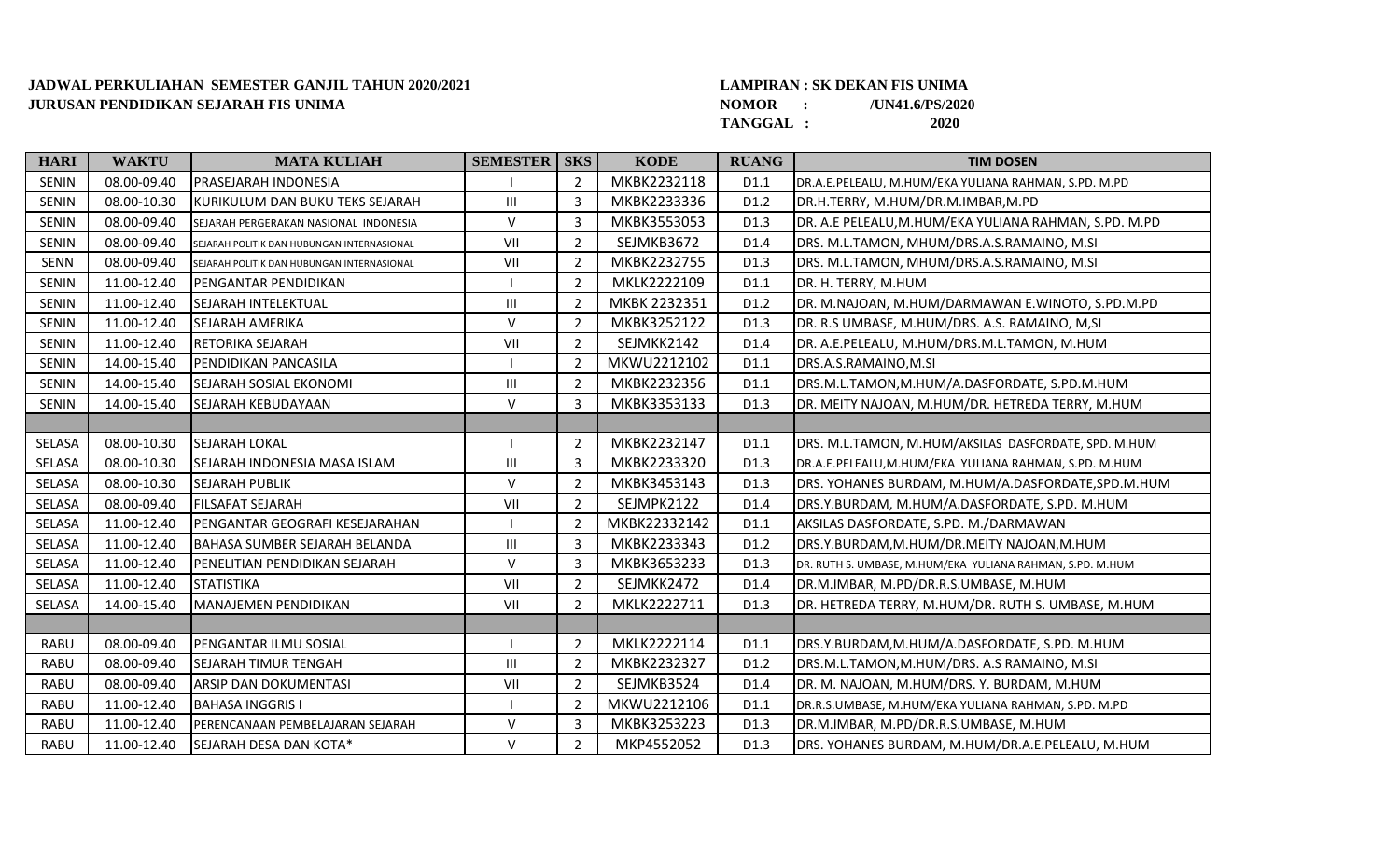## **JADWAL PERKULIAHAN SEMESTER GANJIL TAHUN 2020/2021 LAMPIRAN : SK DEKAN FIS UNIMA JURUSAN PENDIDIKAN SEJARAH FIS UNIMA**

## **NOMOR : /UN41.6/PS/2020**

**TANGGAL : 2020**

| <b>HARI</b>   | <b>WAKTU</b> | <b>MATA KULIAH</b>                         | <b>SEMESTER   SKS</b> |                | <b>KODE</b>  | <b>RUANG</b>     | <b>TIM DOSEN</b>                                          |
|---------------|--------------|--------------------------------------------|-----------------------|----------------|--------------|------------------|-----------------------------------------------------------|
| <b>SENIN</b>  | 08.00-09.40  | <b>PRASEJARAH INDONESIA</b>                |                       | 2              | MKBK2232118  | D1.1             | DR.A.E.PELEALU, M.HUM/EKA YULIANA RAHMAN, S.PD. M.PD      |
| <b>SENIN</b>  | 08.00-10.30  | KURIKULUM DAN BUKU TEKS SEJARAH            | Ш                     | 3              | MKBK2233336  | D1.2             | DR.H.TERRY, M.HUM/DR.M.IMBAR,M.PD                         |
| <b>SENIN</b>  | 08.00-09.40  | SEJARAH PERGERAKAN NASIONAL INDONESIA      | $\vee$                | 3              | MKBK3553053  | D <sub>1.3</sub> | JDR. A.E PELEALU,M.HUM/EKA YULIANA RAHMAN, S.PD. M.PD     |
| <b>SENIN</b>  | 08.00-09.40  | SEJARAH POLITIK DAN HUBUNGAN INTERNASIONAL | VII                   | $\overline{2}$ | SEJMKB3672   | D1.4             | DRS. M.L.TAMON, MHUM/DRS.A.S.RAMAINO, M.SI                |
| <b>SENN</b>   | 08.00-09.40  | SEJARAH POLITIK DAN HUBUNGAN INTERNASIONAL | VII                   | $\overline{2}$ | MKBK2232755  | D <sub>1.3</sub> | DRS. M.L.TAMON, MHUM/DRS.A.S.RAMAINO, M.SI                |
| <b>SENIN</b>  | 11.00-12.40  | PENGANTAR PENDIDIKAN                       |                       | $\overline{2}$ | MKLK2222109  | D1.1             | DR. H. TERRY, M.HUM                                       |
| <b>SENIN</b>  | 11.00-12.40  | <b>SEJARAH INTELEKTUAL</b>                 | $\mathbf{III}$        | $\overline{2}$ | MKBK 2232351 | D <sub>1.2</sub> | DR. M.NAJOAN, M.HUM/DARMAWAN E.WINOTO, S.PD.M.PD          |
| <b>SENIN</b>  | 11.00-12.40  | <b>SEJARAH AMERIKA</b>                     | $\vee$                | $\overline{2}$ | MKBK3252122  | D <sub>1.3</sub> | DR. R.S UMBASE, M.HUM/DRS. A.S. RAMAINO, M,SI             |
| <b>SENIN</b>  | 11.00-12.40  | <b>RETORIKA SEJARAH</b>                    | VII                   | 2              | SEJMKK2142   | D1.4             | DR. A.E.PELEALU, M.HUM/DRS.M.L.TAMON, M.HUM               |
| <b>SENIN</b>  | 14.00-15.40  | PENDIDIKAN PANCASILA                       |                       | $\overline{2}$ | MKWU2212102  | D1.1             | DRS.A.S.RAMAINO,M.SI                                      |
| <b>SENIN</b>  | 14.00-15.40  | <b>SEJARAH SOSIAL EKONOMI</b>              | $\mathbf{III}$        | $\overline{2}$ | MKBK2232356  | D1.1             | DRS.M.L.TAMON,M.HUM/A.DASFORDATE, S.PD.M.HUM              |
| <b>SENIN</b>  | 14.00-15.40  | <b>SEJARAH KEBUDAYAAN</b>                  | $\vee$                | $\mathbf{3}$   | MKBK3353133  | D1.3             | DR. MEITY NAJOAN, M.HUM/DR. HETREDA TERRY, M.HUM          |
|               |              |                                            |                       |                |              |                  |                                                           |
| SELASA        | 08.00-10.30  | lsejarah lokal                             |                       | $\overline{2}$ | MKBK2232147  | D <sub>1.1</sub> | DRS. M.L.TAMON, M.HUM/AKSILAS DASFORDATE, SPD. M.HUM      |
| SELASA        | 08.00-10.30  | SEJARAH INDONESIA MASA ISLAM               | Ш                     | 3              | MKBK2233320  | D <sub>1.3</sub> | DR.A.E.PELEALU, M.HUM/EKA YULIANA RAHMAN, S.PD. M.HUM     |
| SELASA        | 08.00-10.30  | <b>SEJARAH PUBLIK</b>                      | $\vee$                | $\overline{2}$ | MKBK3453143  | D1.3             | DRS. YOHANES BURDAM, M.HUM/A.DASFORDATE, SPD.M.HUM        |
| SELASA        | 08.00-09.40  | <b>FILSAFAT SEJARAH</b>                    | VII                   | $\overline{2}$ | SEJMPK2122   | D1.4             | DRS.Y.BURDAM, M.HUM/A.DASFORDATE, S.PD. M.HUM             |
| SELASA        | 11.00-12.40  | PENGANTAR GEOGRAFI KESEJARAHAN             |                       | $\overline{2}$ | MKBK22332142 | D1.1             | AKSILAS DASFORDATE, S.PD. M./DARMAWAN                     |
| SELASA        | 11.00-12.40  | <b>BAHASA SUMBER SEJARAH BELANDA</b>       | Ш                     | 3              | MKBK2233343  | D <sub>1.2</sub> | DRS.Y.BURDAM, M.HUM/DR.MEITY NAJOAN, M.HUM                |
| <b>SELASA</b> | 11.00-12.40  | PENELITIAN PENDIDIKAN SEJARAH              | $\vee$                | 3              | MKBK3653233  | D1.3             | DR. RUTH S. UMBASE, M.HUM/EKA YULIANA RAHMAN, S.PD. M.HUM |
| SELASA        | 11.00-12.40  | <b>STATISTIKA</b>                          | VII                   | $\overline{2}$ | SEJMKK2472   | D1.4             | DR.M.IMBAR, M.PD/DR.R.S.UMBASE, M.HUM                     |
| SELASA        | 14.00-15.40  | MANAJEMEN PENDIDIKAN                       | VII                   | 2              | MKLK2222711  | D1.3             | DR. HETREDA TERRY, M.HUM/DR. RUTH S. UMBASE, M.HUM        |
|               |              |                                            |                       |                |              |                  |                                                           |
| <b>RABU</b>   | 08.00-09.40  | PENGANTAR ILMU SOSIAL                      |                       | $\overline{2}$ | MKLK2222114  | D1.1             | DRS.Y.BURDAM,M.HUM/A.DASFORDATE, S.PD. M.HUM              |
| <b>RABU</b>   | 08.00-09.40  | <b>SEJARAH TIMUR TENGAH</b>                | $\mathbf{III}$        | $\overline{2}$ | MKBK2232327  | D <sub>1.2</sub> | DRS.M.L.TAMON,M.HUM/DRS. A.S RAMAINO, M.SI                |
| <b>RABU</b>   | 08.00-09.40  | ARSIP DAN DOKUMENTASI                      | VII                   | $\overline{2}$ | SEJMKB3524   | D1.4             | DR. M. NAJOAN, M.HUM/DRS. Y. BURDAM, M.HUM                |
| <b>RABU</b>   | 11.00-12.40  | <b>BAHASA INGGRIS I</b>                    |                       | $\overline{2}$ | MKWU2212106  | D1.1             | DR.R.S.UMBASE, M.HUM/EKA YULIANA RAHMAN, S.PD. M.PD       |
| <b>RABU</b>   | 11.00-12.40  | PERENCANAAN PEMBELAJARAN SEJARAH           | $\vee$                | 3              | MKBK3253223  | D1.3             | DR.M.IMBAR, M.PD/DR.R.S.UMBASE, M.HUM                     |
| <b>RABU</b>   | 11.00-12.40  | SEJARAH DESA DAN KOTA*                     | $\vee$                | $\overline{2}$ | MKP4552052   | D <sub>1.3</sub> | DRS. YOHANES BURDAM, M.HUM/DR.A.E.PELEALU, M.HUM          |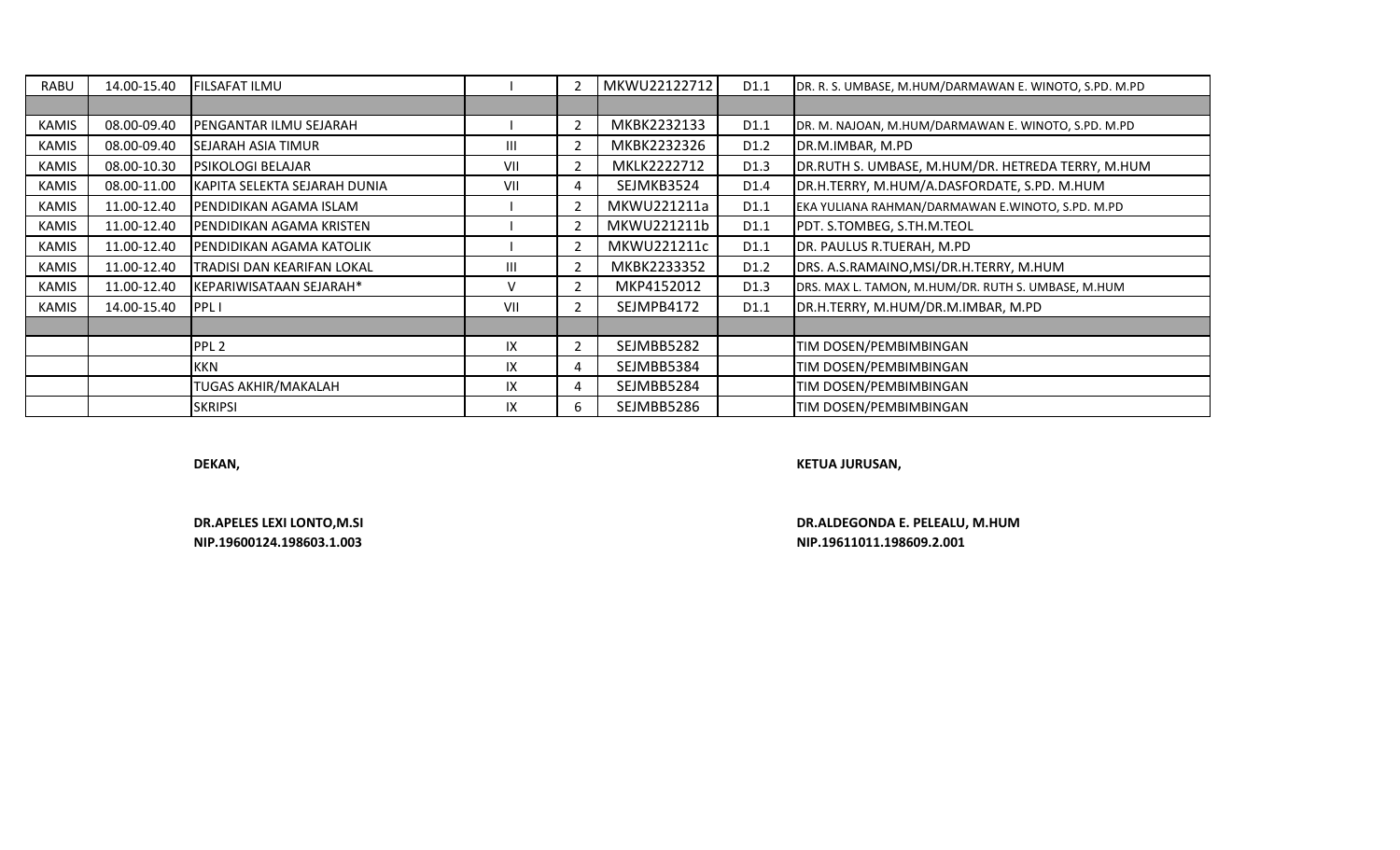| <b>RABU</b> | 14.00-15.40 | FILSAFAT ILMU                |                |                | MKWU22122712 | D1.1             | DR. R. S. UMBASE, M.HUM/DARMAWAN E. WINOTO, S.PD. M.PD |
|-------------|-------------|------------------------------|----------------|----------------|--------------|------------------|--------------------------------------------------------|
|             |             |                              |                |                |              |                  |                                                        |
| KAMIS       | 08.00-09.40 | PENGANTAR ILMU SEJARAH       |                |                | MKBK2232133  | D1.1             | DR. M. NAJOAN, M.HUM/DARMAWAN E. WINOTO, S.PD. M.PD    |
| KAMIS       | 08.00-09.40 | SEJARAH ASIA TIMUR           | $\mathbf{III}$ |                | MKBK2232326  | D1.2             | DR.M.IMBAR, M.PD                                       |
| KAMIS       | 08.00-10.30 | <b>PSIKOLOGI BELAJAR</b>     | VII            | 2              | MKLK2222712  | D <sub>1.3</sub> | DR.RUTH S. UMBASE, M.HUM/DR. HETREDA TERRY, M.HUM      |
| KAMIS       | 08.00-11.00 | KAPITA SELEKTA SEJARAH DUNIA | VII            | 4              | SEJMKB3524   | D1.4             | DR.H.TERRY, M.HUM/A.DASFORDATE, S.PD. M.HUM            |
| KAMIS       | 11.00-12.40 | PENDIDIKAN AGAMA ISLAM       |                |                | MKWU221211a  | D1.1             | EKA YULIANA RAHMAN/DARMAWAN E.WINOTO, S.PD. M.PD       |
| KAMIS       | 11.00-12.40 | PENDIDIKAN AGAMA KRISTEN     |                |                | MKWU221211b  | D1.1             | PDT. S.TOMBEG, S.TH.M.TEOL                             |
| KAMIS       | 11.00-12.40 | PENDIDIKAN AGAMA KATOLIK     |                |                | MKWU221211c  | D1.1             | DR. PAULUS R.TUERAH, M.PD                              |
| KAMIS       | 11.00-12.40 | TRADISI DAN KEARIFAN LOKAL   | $\mathbf{III}$ |                | MKBK2233352  | D <sub>1.2</sub> | DRS. A.S.RAMAINO,MSI/DR.H.TERRY, M.HUM                 |
| KAMIS       | 11.00-12.40 | KEPARIWISATAAN SEJARAH*      | $\vee$         | $\overline{2}$ | MKP4152012   | D1.3             | DRS. MAX L. TAMON, M.HUM/DR. RUTH S. UMBASE, M.HUM     |
| KAMIS       | 14.00-15.40 | PPL I                        | VII            |                | SEJMPB4172   | D1.1             | DR.H.TERRY, M.HUM/DR.M.IMBAR, M.PD                     |
|             |             |                              |                |                |              |                  |                                                        |
|             |             | PPL <sub>2</sub>             | IX             |                | SEJMBB5282   |                  | TIM DOSEN/PEMBIMBINGAN                                 |
|             |             | <b>KKN</b>                   | IX             | 4              | SEJMBB5384   |                  | TIM DOSEN/PEMBIMBINGAN                                 |
|             |             | TUGAS AKHIR/MAKALAH          | IX             | 4              | SEJMBB5284   |                  | TIM DOSEN/PEMBIMBINGAN                                 |
|             |             | <b>SKRIPSI</b>               | IX             | 6              | SEJMBB5286   |                  | TIM DOSEN/PEMBIMBINGAN                                 |

**DEKAN, KETUA JURUSAN,**

**DR.APELES LEXI LONTO,M.SI DR.ALDEGONDA E. PELEALU, M.HUM NIP.19600124.198603.1.003 NIP.19611011.198609.2.001**